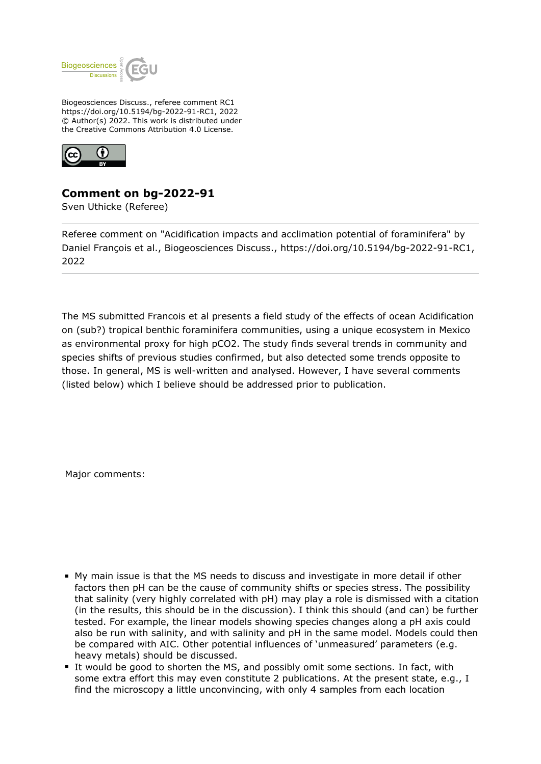

Biogeosciences Discuss., referee comment RC1 https://doi.org/10.5194/bg-2022-91-RC1, 2022 © Author(s) 2022. This work is distributed under the Creative Commons Attribution 4.0 License.



## **Comment on bg-2022-91**

Sven Uthicke (Referee)

Referee comment on "Acidification impacts and acclimation potential of foraminifera" by Daniel François et al., Biogeosciences Discuss., https://doi.org/10.5194/bg-2022-91-RC1, 2022

The MS submitted Francois et al presents a field study of the effects of ocean Acidification on (sub?) tropical benthic foraminifera communities, using a unique ecosystem in Mexico as environmental proxy for high pCO2. The study finds several trends in community and species shifts of previous studies confirmed, but also detected some trends opposite to those. In general, MS is well-written and analysed. However, I have several comments (listed below) which I believe should be addressed prior to publication.

Major comments:

- My main issue is that the MS needs to discuss and investigate in more detail if other factors then pH can be the cause of community shifts or species stress. The possibility that salinity (very highly correlated with pH) may play a role is dismissed with a citation (in the results, this should be in the discussion). I think this should (and can) be further tested. For example, the linear models showing species changes along a pH axis could also be run with salinity, and with salinity and pH in the same model. Models could then be compared with AIC. Other potential influences of 'unmeasured' parameters (e.g. heavy metals) should be discussed.
- It would be good to shorten the MS, and possibly omit some sections. In fact, with some extra effort this may even constitute 2 publications. At the present state, e.g., I find the microscopy a little unconvincing, with only 4 samples from each location